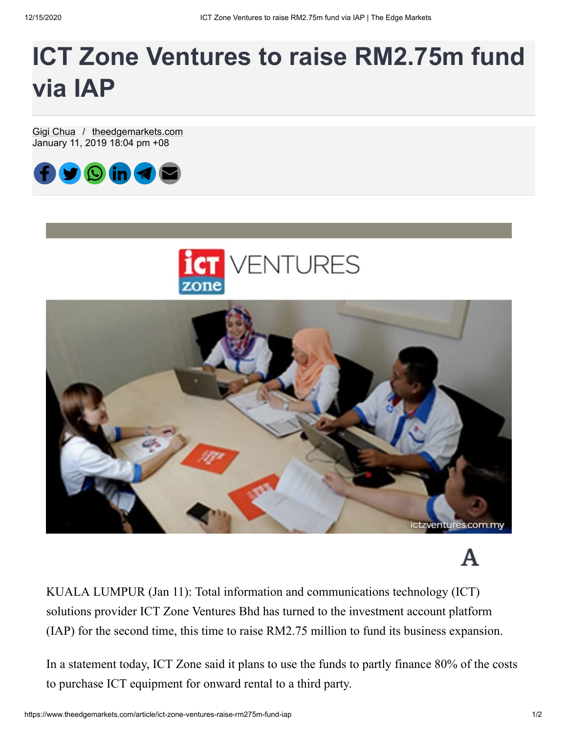## **ICT Zone Ventures to raise RM2.75m fund via IAP**

[Gigi Chua](https://www.theedgemarkets.com/author/Gigi%20Chua) / [theedgemarkets.com](https://www.theedgemarkets.com/source/theedgemarkets.com) January 11, 2019 18:04 pm +08







KUALA LUMPUR (Jan 11): Total information and communications technology (ICT) solutions provider ICT Zone Ventures Bhd has turned to the investment account platform (IAP) for the second time, this time to raise RM2.75 million to fund its business expansion.

In a statement today, ICT Zone said it plans to use the funds to partly finance 80% of the costs to purchase ICT equipment for onward rental to a third party.